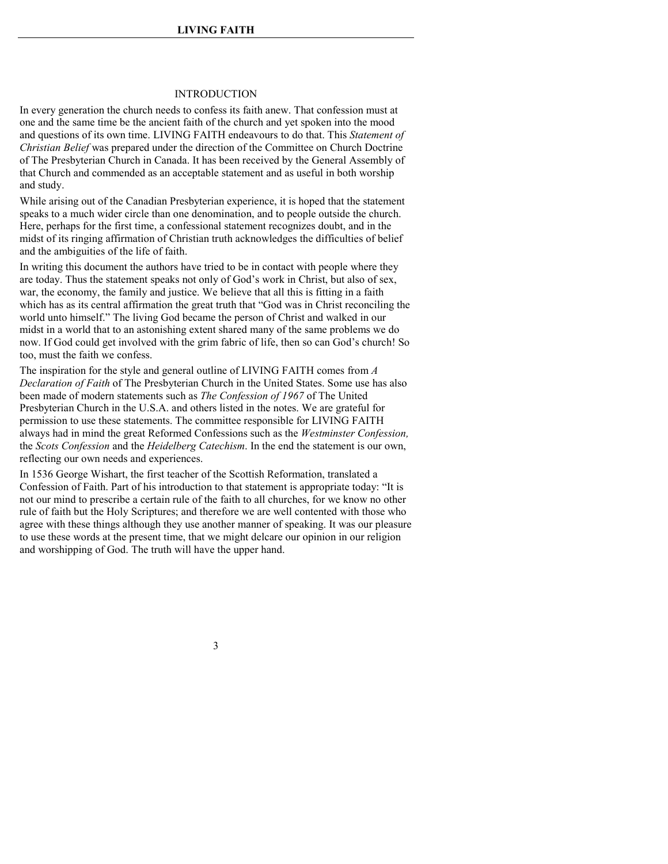#### INTRODUCTION

In every generation the church needs to confess its faith anew. That confession must at one and the same time be the ancient faith of the church and yet spoken into the mood and questions of its own time. LIVING FAITH endeavours to do that. This *Statement of Christian Belief* was prepared under the direction of the Committee on Church Doctrine of The Presbyterian Church in Canada. It has been received by the General Assembly of that Church and commended as an acceptable statement and as useful in both worship and study.

While arising out of the Canadian Presbyterian experience, it is hoped that the statement speaks to a much wider circle than one denomination, and to people outside the church. Here, perhaps for the first time, a confessional statement recognizes doubt, and in the midst of its ringing affirmation of Christian truth acknowledges the difficulties of belief and the ambiguities of the life of faith.

In writing this document the authors have tried to be in contact with people where they are today. Thus the statement speaks not only of God's work in Christ, but also of sex, war, the economy, the family and justice. We believe that all this is fitting in a faith which has as its central affirmation the great truth that "God was in Christ reconciling the world unto himself." The living God became the person of Christ and walked in our midst in a world that to an astonishing extent shared many of the same problems we do now. If God could get involved with the grim fabric of life, then so can God's church! So too, must the faith we confess.

The inspiration for the style and general outline of LIVING FAITH comes from *A Declaration of Faith* of The Presbyterian Church in the United States. Some use has also been made of modern statements such as *The Confession of 1967* of The United Presbyterian Church in the U.S.A. and others listed in the notes. We are grateful for permission to use these statements. The committee responsible for LIVING FAITH always had in mind the great Reformed Confessions such as the *Westminster Confession,*  the *Scots Confession* and the *Heidelberg Catechism*. In the end the statement is our own, reflecting our own needs and experiences.

In 1536 George Wishart, the first teacher of the Scottish Reformation, translated a Confession of Faith. Part of his introduction to that statement is appropriate today: "It is not our mind to prescribe a certain rule of the faith to all churches, for we know no other rule of faith but the Holy Scriptures; and therefore we are well contented with those who agree with these things although they use another manner of speaking. It was our pleasure to use these words at the present time, that we might delcare our opinion in our religion and worshipping of God. The truth will have the upper hand.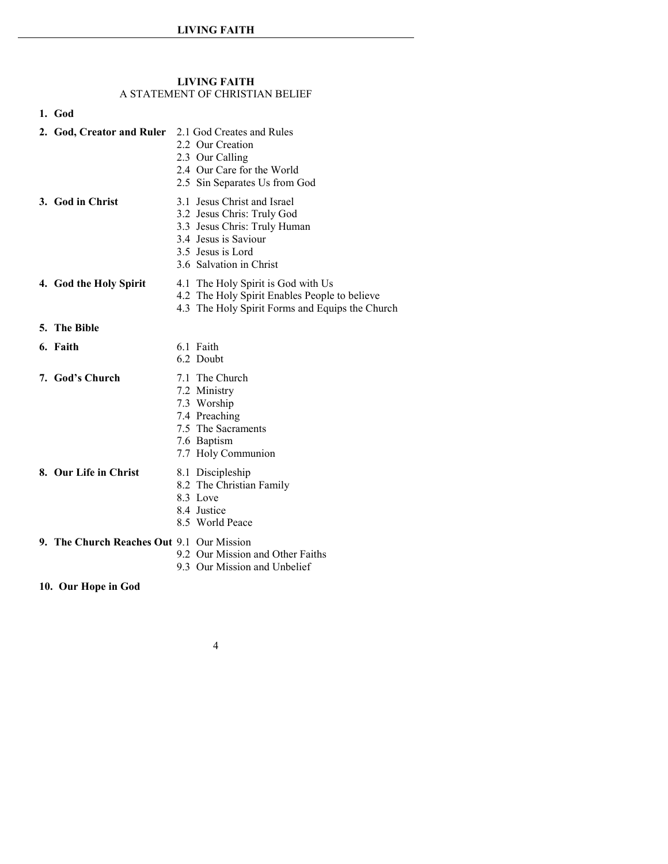#### **LIVING FAITH**  A STATEMENT OF CHRISTIAN BELIEF

#### **1. [God](#page-2-0)**

- **2. [God, Creator and Ruler](#page-3-0)** 2.1 God Creates and Rules
	- 2.2 Our Creation
	- 2.3 Our Calling
	- 2.4 Our Care for the World
	- 2.5 Sin Separates Us from God
- 
- **3. [God in Christ](#page-6-0)** 3.1 Jesus Christ and Israel
	- 3.2 Jesus Chris: Truly God
	- 3.3 Jesus Chris: Truly Human
	- 3.4 Jesus is Saviour
	- 3.5 Jesus is Lord
	- 3.6 Salvation in Christ
- 
- **4. [God the Holy Spirit](#page-10-0)** 4.1 The Holy Spirit is God with Us
	- 4.2 The Holy Spirit Enables People to believe
	- 4.3 The Holy Spirit Forms and Equips the Church

- **5. [The Bible](#page-11-0)**
- 
- 
- **6. [Faith](#page-12-0)** 6.1 Faith
	- 6.2 Doubt
- **7. God's Church** 7.1 The Church
	- 7.2 Ministry
	- 7.3 Worship
	- 7.4 Preaching
	- 7.5 The Sacraments
	- 7.6 Baptism
	- 7.7 Holy Communion
- **8. [Our Life in Christ](#page-19-0)** 8.1 Discipleship
	-
	- 8.2 The Christian Family
	- 8.3 Love
	- 8.4 Justice
	- 8.5 World Peace
- **9. [The Church Reaches Out](#page-23-0)** 9.1 Our Mission
	- 9.2 Our Mission and Other Faiths
	- 9.3 Our Mission and Unbelief
- **10. [Our Hope in God](#page-25-0)**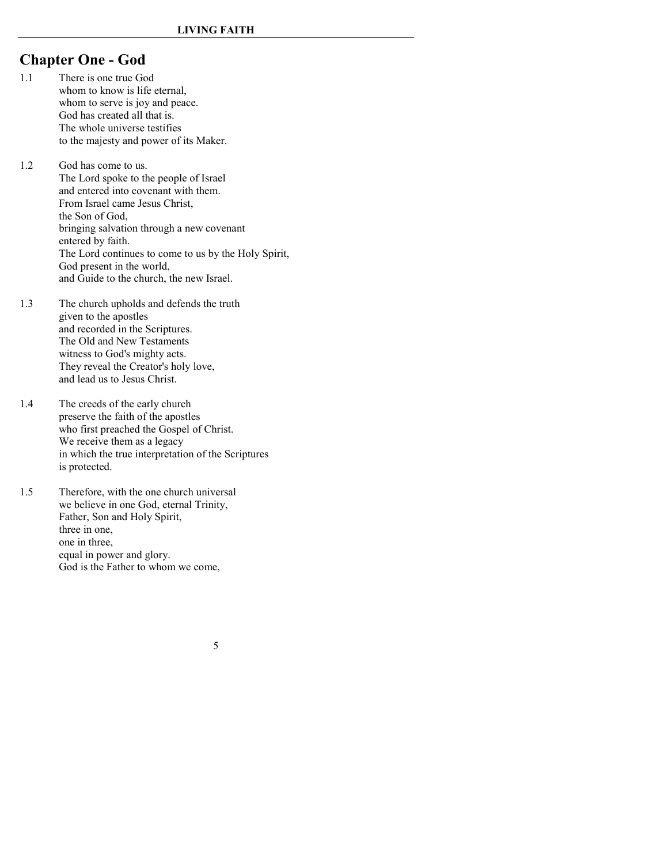# <span id="page-2-0"></span>**Chapter One - God**

- 1.1 There is one true God whom to know is life eternal, whom to serve is joy and peace. God has created all that is. The whole universe testifies to the majesty and power of its Maker.
- 1.2 God has come to us. The Lord spoke to the people of Israel and entered into covenant with them. From Israel came Jesus Christ, the Son of God, bringing salvation through a new covenant entered by faith. The Lord continues to come to us by the Holy Spirit, God present in the world, and Guide to the church, the new Israel.
- 1.3 The church upholds and defends the truth given to the apostles and recorded in the Scriptures. The Old and New Testaments witness to God's mighty acts. They reveal the Creator's holy love, and lead us to Jesus Christ.
- 1.4 The creeds of the early church preserve the faith of the apostles who first preached the Gospel of Christ. We receive them as a legacy in which the true interpretation of the Scriptures is protected.
- 1.5 Therefore, with the one church universal we believe in one God, eternal Trinity, Father, Son and Holy Spirit, three in one, one in three, equal in power and glory. God is the Father to whom we come,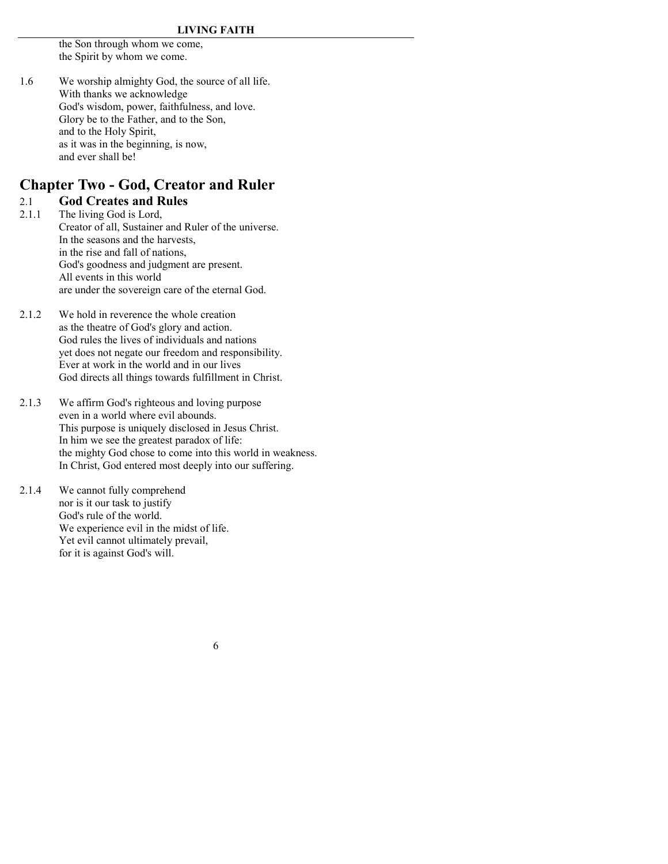the Son through whom we come, the Spirit by whom we come.

1.6 We worship almighty God, the source of all life. With thanks we acknowledge God's wisdom, power, faithfulness, and love. Glory be to the Father, and to the Son, and to the Holy Spirit, as it was in the beginning, is now, and ever shall be!

# <span id="page-3-0"></span>**Chapter Two - God, Creator and Ruler**

#### 2.1 **God Creates and Rules**

- 2.1.1 The living God is Lord, Creator of all, Sustainer and Ruler of the universe. In the seasons and the harvests, in the rise and fall of nations, God's goodness and judgment are present. All events in this world are under the sovereign care of the eternal God.
- 2.1.2 We hold in reverence the whole creation as the theatre of God's glory and action. God rules the lives of individuals and nations yet does not negate our freedom and responsibility. Ever at work in the world and in our lives God directs all things towards fulfillment in Christ.
- 2.1.3 We affirm God's righteous and loving purpose even in a world where evil abounds. This purpose is uniquely disclosed in Jesus Christ. In him we see the greatest paradox of life: the mighty God chose to come into this world in weakness. In Christ, God entered most deeply into our suffering.
- 2.1.4 We cannot fully comprehend nor is it our task to justify God's rule of the world. We experience evil in the midst of life. Yet evil cannot ultimately prevail, for it is against God's will.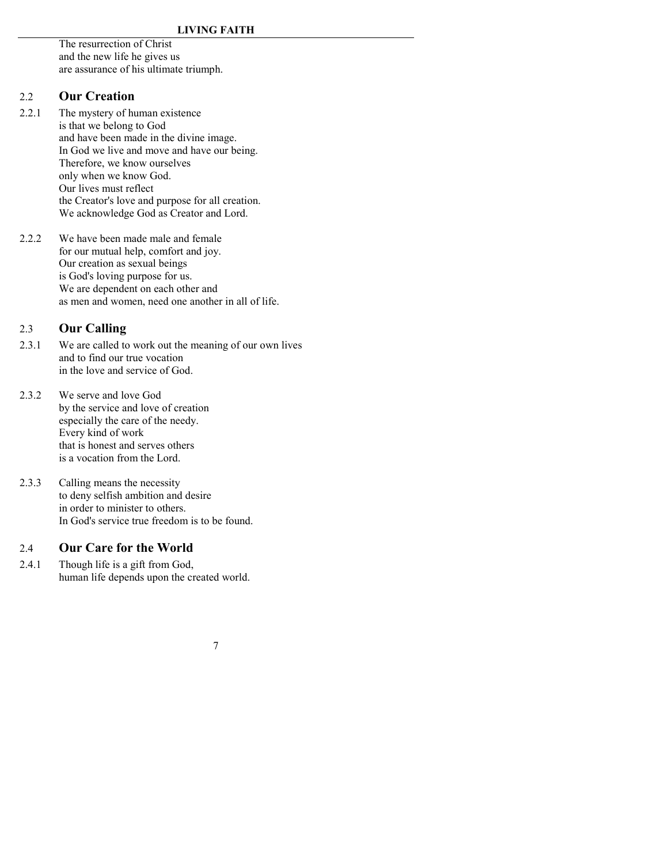The resurrection of Christ and the new life he gives us are assurance of his ultimate triumph.

## 2.2 **Our Creation**

- 2.2.1 The mystery of human existence is that we belong to God and have been made in the divine image. In God we live and move and have our being. Therefore, we know ourselves only when we know God. Our lives must reflect the Creator's love and purpose for all creation. We acknowledge God as Creator and Lord.
- 2.2.2 We have been made male and female for our mutual help, comfort and joy. Our creation as sexual beings is God's loving purpose for us. We are dependent on each other and as men and women, need one another in all of life.

# 2.3 **Our Calling**

- 2.3.1 We are called to work out the meaning of our own lives and to find our true vocation in the love and service of God.
- 2.3.2 We serve and love God by the service and love of creation especially the care of the needy. Every kind of work that is honest and serves others is a vocation from the Lord.
- 2.3.3 Calling means the necessity to deny selfish ambition and desire in order to minister to others. In God's service true freedom is to be found.

## 2.4 **Our Care for the World**

2.4.1 Though life is a gift from God, human life depends upon the created world.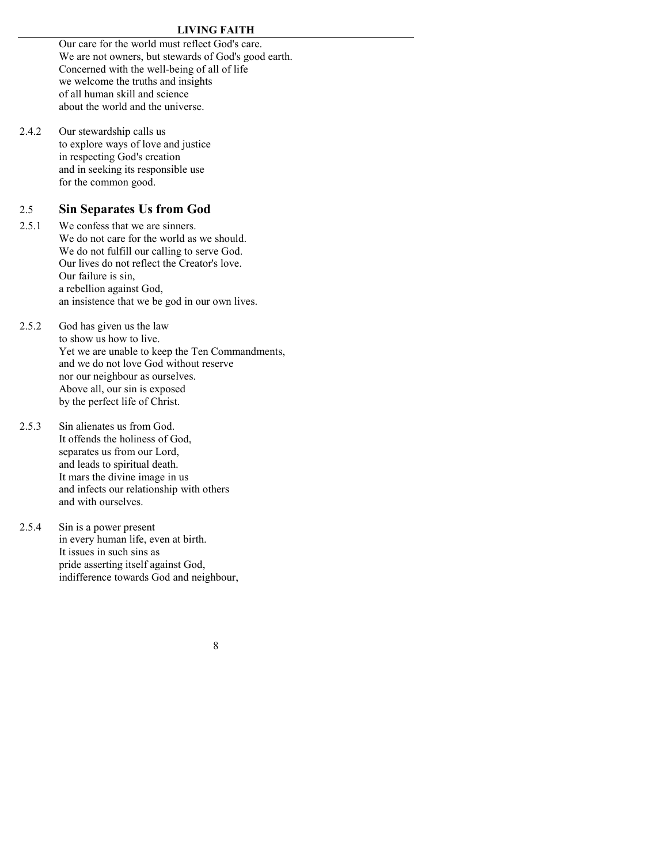#### **LIVING FAITH**

Our care for the world must reflect God's care. We are not owners, but stewards of God's good earth. Concerned with the well-being of all of life we welcome the truths and insights of all human skill and science about the world and the universe.

2.4.2 Our stewardship calls us to explore ways of love and justice in respecting God's creation and in seeking its responsible use for the common good.

### 2.5 **Sin Separates Us from God**

- 2.5.1 We confess that we are sinners. We do not care for the world as we should. We do not fulfill our calling to serve God. Our lives do not reflect the Creator's love. Our failure is sin, a rebellion against God, an insistence that we be god in our own lives.
- 2.5.2 God has given us the law to show us how to live. Yet we are unable to keep the Ten Commandments, and we do not love God without reserve nor our neighbour as ourselves. Above all, our sin is exposed by the perfect life of Christ.
- 2.5.3 Sin alienates us from God. It offends the holiness of God, separates us from our Lord, and leads to spiritual death. It mars the divine image in us and infects our relationship with others and with ourselves.
- 2.5.4 Sin is a power present in every human life, even at birth. It issues in such sins as pride asserting itself against God, indifference towards God and neighbour,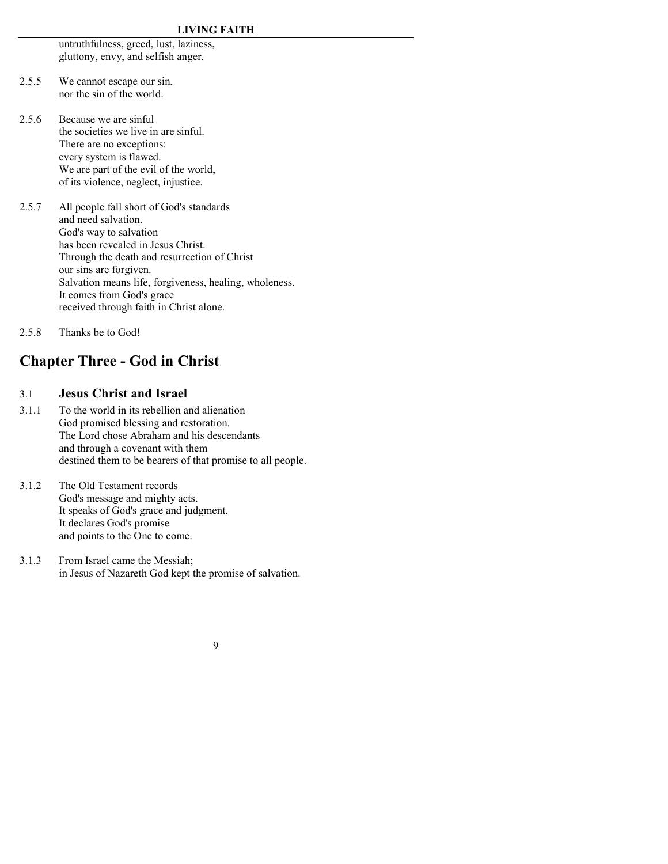untruthfulness, greed, lust, laziness, gluttony, envy, and selfish anger.

- 2.5.5 We cannot escape our sin, nor the sin of the world.
- 2.5.6 Because we are sinful the societies we live in are sinful. There are no exceptions: every system is flawed. We are part of the evil of the world, of its violence, neglect, injustice.
- 2.5.7 All people fall short of God's standards and need salvation. God's way to salvation has been revealed in Jesus Christ. Through the death and resurrection of Christ our sins are forgiven. Salvation means life, forgiveness, healing, wholeness. It comes from God's grace received through faith in Christ alone.
- 2.5.8 Thanks be to God!

# <span id="page-6-0"></span>**Chapter Three - God in Christ**

# 3.1 **Jesus Christ and Israel**

- 3.1.1 To the world in its rebellion and alienation God promised blessing and restoration. The Lord chose Abraham and his descendants and through a covenant with them destined them to be bearers of that promise to all people.
- 3.1.2 The Old Testament records God's message and mighty acts. It speaks of God's grace and judgment. It declares God's promise and points to the One to come.
- 3.1.3 From Israel came the Messiah; in Jesus of Nazareth God kept the promise of salvation.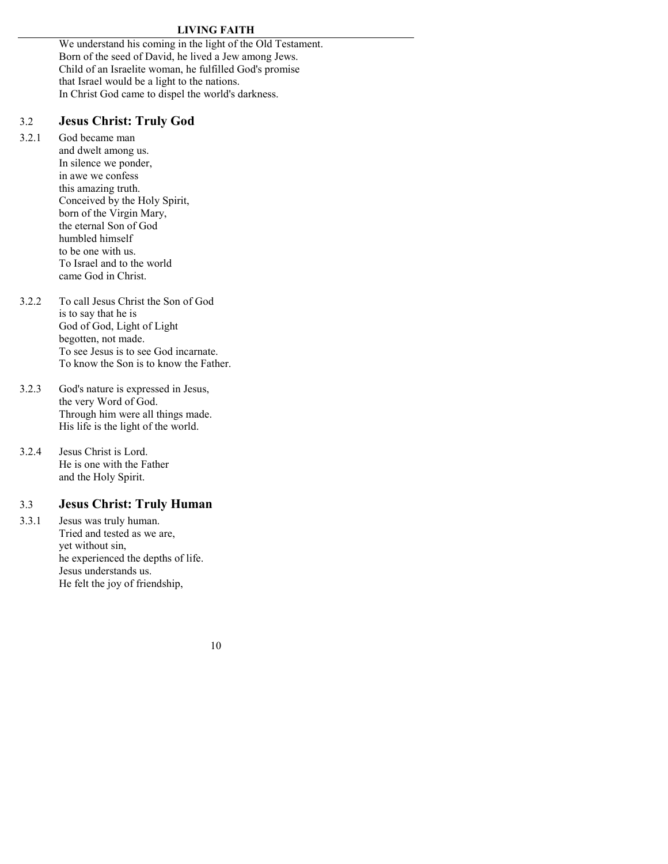We understand his coming in the light of the Old Testament. Born of the seed of David, he lived a Jew among Jews. Child of an Israelite woman, he fulfilled God's promise that Israel would be a light to the nations. In Christ God came to dispel the world's darkness.

# 3.2 **Jesus Christ: Truly God**

3.2.1 God became man and dwelt among us. In silence we ponder, in awe we confess this amazing truth. Conceived by the Holy Spirit, born of the Virgin Mary, the eternal Son of God humbled himself to be one with us. To Israel and to the world came God in Christ.

3.2.2 To call Jesus Christ the Son of God is to say that he is God of God, Light of Light begotten, not made. To see Jesus is to see God incarnate. To know the Son is to know the Father.

- 3.2.3 God's nature is expressed in Jesus, the very Word of God. Through him were all things made. His life is the light of the world.
- 3.2.4 Jesus Christ is Lord. He is one with the Father and the Holy Spirit.

# 3.3 **Jesus Christ: Truly Human**

3.3.1 Jesus was truly human. Tried and tested as we are, yet without sin, he experienced the depths of life. Jesus understands us. He felt the joy of friendship,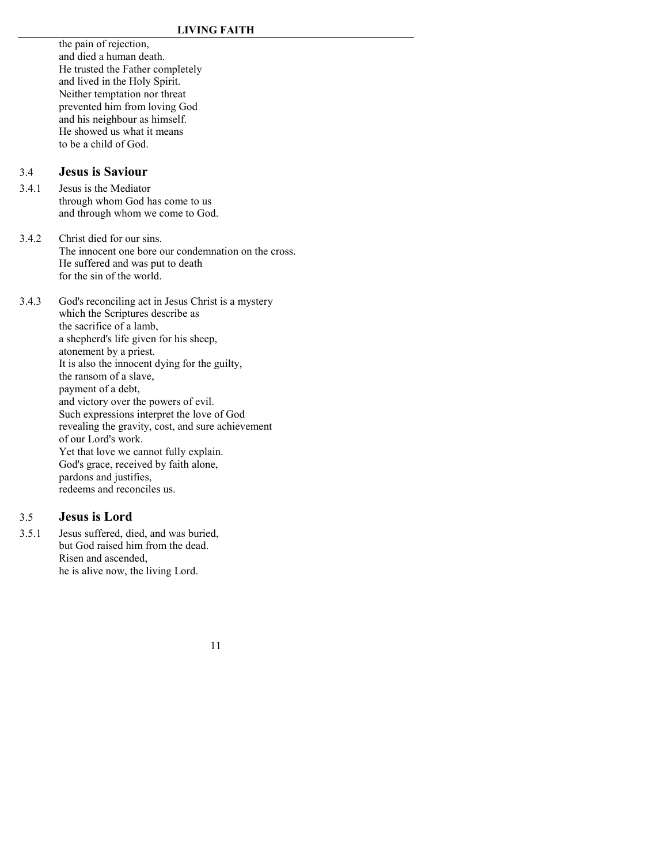the pain of rejection, and died a human death. He trusted the Father completely and lived in the Holy Spirit. Neither temptation nor threat prevented him from loving God and his neighbour as himself. He showed us what it means to be a child of God.

### 3.4 **Jesus is Saviour**

- 3.4.1 Jesus is the Mediator through whom God has come to us and through whom we come to God.
- 3.4.2 Christ died for our sins. The innocent one bore our condemnation on the cross. He suffered and was put to death for the sin of the world.

3.4.3 God's reconciling act in Jesus Christ is a mystery which the Scriptures describe as the sacrifice of a lamb, a shepherd's life given for his sheep, atonement by a priest. It is also the innocent dying for the guilty, the ransom of a slave, payment of a debt, and victory over the powers of evil. Such expressions interpret the love of God revealing the gravity, cost, and sure achievement of our Lord's work. Yet that love we cannot fully explain. God's grace, received by faith alone, pardons and justifies, redeems and reconciles us.

### 3.5 **Jesus is Lord**

3.5.1 Jesus suffered, died, and was buried, but God raised him from the dead. Risen and ascended, he is alive now, the living Lord.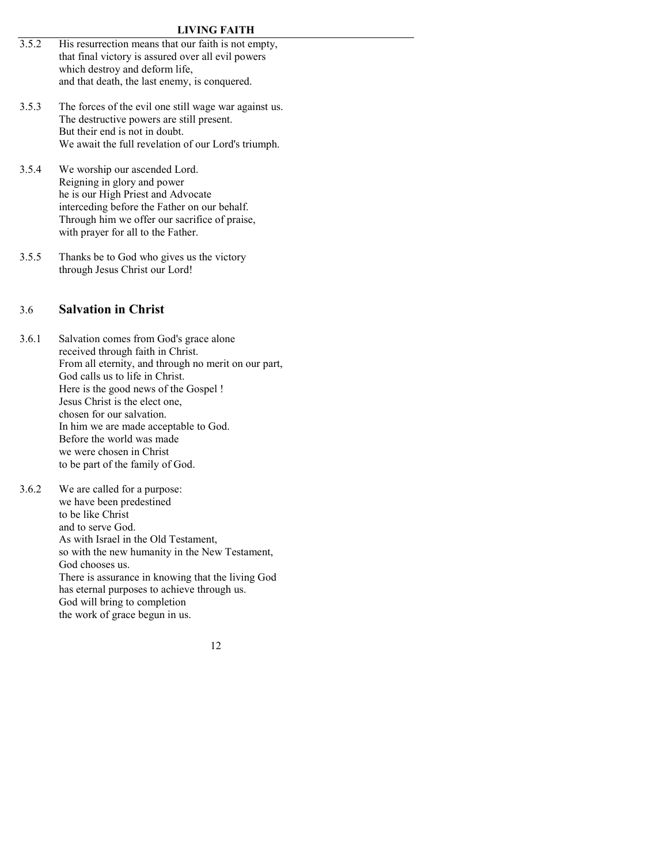#### **LIVING FAITH**

- 3.5.2 His resurrection means that our faith is not empty, that final victory is assured over all evil powers which destroy and deform life, and that death, the last enemy, is conquered.
- 3.5.3 The forces of the evil one still wage war against us. The destructive powers are still present. But their end is not in doubt. We await the full revelation of our Lord's triumph.
- 3.5.4 We worship our ascended Lord. Reigning in glory and power he is our High Priest and Advocate interceding before the Father on our behalf. Through him we offer our sacrifice of praise, with prayer for all to the Father.
- 3.5.5 Thanks be to God who gives us the victory through Jesus Christ our Lord!

#### 3.6 **Salvation in Christ**

- 3.6.1 Salvation comes from God's grace alone received through faith in Christ. From all eternity, and through no merit on our part, God calls us to life in Christ. Here is the good news of the Gospel ! Jesus Christ is the elect one, chosen for our salvation. In him we are made acceptable to God. Before the world was made we were chosen in Christ to be part of the family of God.
- 3.6.2 We are called for a purpose: we have been predestined to be like Christ and to serve God. As with Israel in the Old Testament, so with the new humanity in the New Testament, God chooses us. There is assurance in knowing that the living God has eternal purposes to achieve through us. God will bring to completion the work of grace begun in us.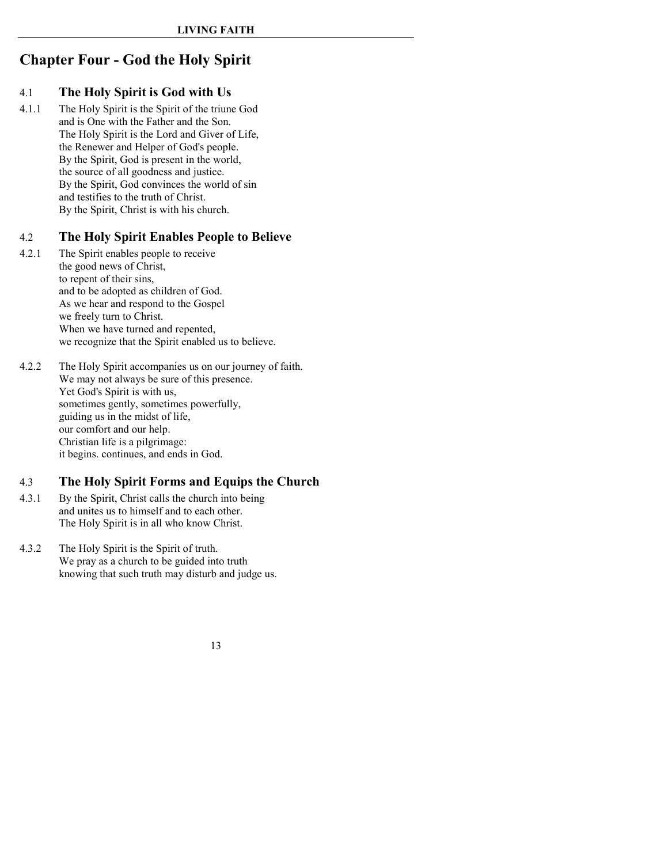# <span id="page-10-0"></span>**Chapter Four - God the Holy Spirit**

## 4.1 **The Holy Spirit is God with Us**

4.1.1 The Holy Spirit is the Spirit of the triune God and is One with the Father and the Son. The Holy Spirit is the Lord and Giver of Life, the Renewer and Helper of God's people. By the Spirit, God is present in the world, the source of all goodness and justice. By the Spirit, God convinces the world of sin and testifies to the truth of Christ. By the Spirit, Christ is with his church.

## 4.2 **The Holy Spirit Enables People to Believe**

- 4.2.1 The Spirit enables people to receive the good news of Christ, to repent of their sins, and to be adopted as children of God. As we hear and respond to the Gospel we freely turn to Christ. When we have turned and repented, we recognize that the Spirit enabled us to believe.
- 4.2.2 The Holy Spirit accompanies us on our journey of faith. We may not always be sure of this presence. Yet God's Spirit is with us, sometimes gently, sometimes powerfully, guiding us in the midst of life, our comfort and our help. Christian life is a pilgrimage: it begins. continues, and ends in God.

## 4.3 **The Holy Spirit Forms and Equips the Church**

- 4.3.1 By the Spirit, Christ calls the church into being and unites us to himself and to each other. The Holy Spirit is in all who know Christ.
- 4.3.2 The Holy Spirit is the Spirit of truth. We pray as a church to be guided into truth knowing that such truth may disturb and judge us.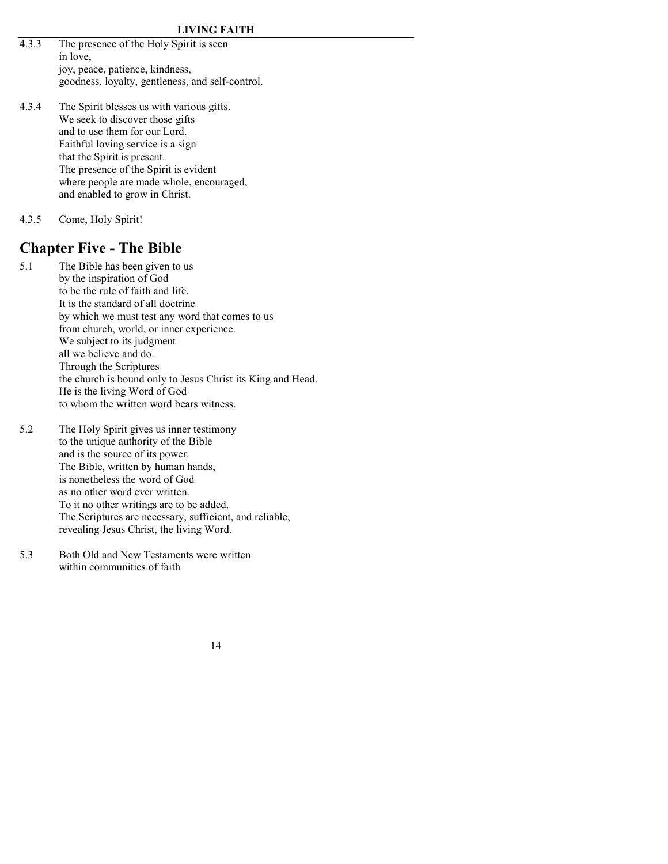- 4.3.3 The presence of the Holy Spirit is seen in love, joy, peace, patience, kindness, goodness, loyalty, gentleness, and self-control.
- 4.3.4 The Spirit blesses us with various gifts. We seek to discover those gifts and to use them for our Lord. Faithful loving service is a sign that the Spirit is present. The presence of the Spirit is evident where people are made whole, encouraged, and enabled to grow in Christ.
- 4.3.5 Come, Holy Spirit!

# <span id="page-11-0"></span>**Chapter Five - The Bible**

- 5.1 The Bible has been given to us by the inspiration of God to be the rule of faith and life. It is the standard of all doctrine by which we must test any word that comes to us from church, world, or inner experience. We subject to its judgment all we believe and do. Through the Scriptures the church is bound only to Jesus Christ its King and Head. He is the living Word of God to whom the written word bears witness.
- 5.2 The Holy Spirit gives us inner testimony to the unique authority of the Bible and is the source of its power. The Bible, written by human hands, is nonetheless the word of God as no other word ever written. To it no other writings are to be added. The Scriptures are necessary, sufficient, and reliable, revealing Jesus Christ, the living Word.
- 5.3 Both Old and New Testaments were written within communities of faith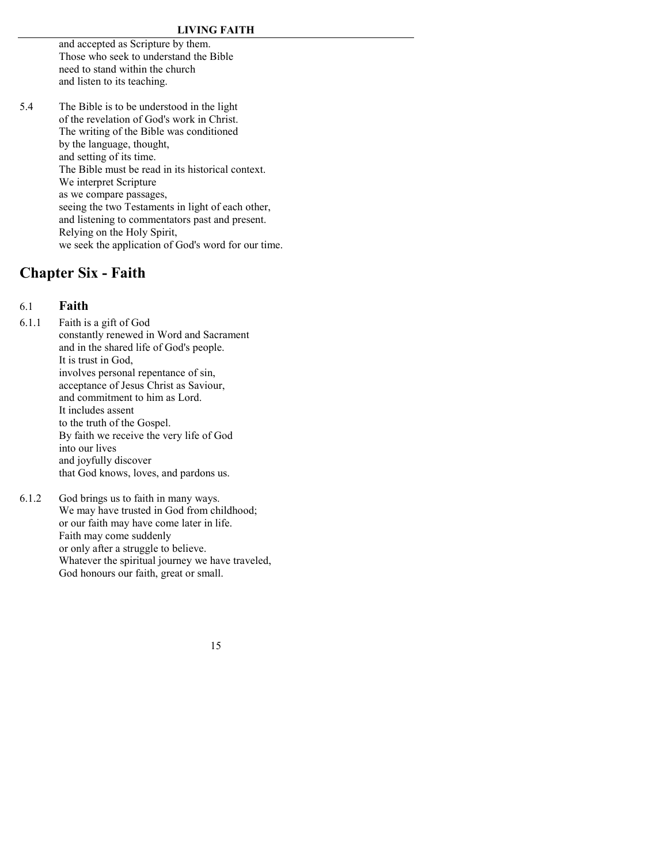and accepted as Scripture by them. Those who seek to understand the Bible need to stand within the church and listen to its teaching.

5.4 The Bible is to be understood in the light of the revelation of God's work in Christ. The writing of the Bible was conditioned by the language, thought, and setting of its time. The Bible must be read in its historical context. We interpret Scripture as we compare passages, seeing the two Testaments in light of each other, and listening to commentators past and present. Relying on the Holy Spirit, we seek the application of God's word for our time.

# <span id="page-12-0"></span>**Chapter Six - Faith**

### 6.1 **Faith**

6.1.1 Faith is a gift of God constantly renewed in Word and Sacrament and in the shared life of God's people. It is trust in God, involves personal repentance of sin, acceptance of Jesus Christ as Saviour, and commitment to him as Lord. It includes assent to the truth of the Gospel. By faith we receive the very life of God into our lives and joyfully discover that God knows, loves, and pardons us.

6.1.2 God brings us to faith in many ways. We may have trusted in God from childhood; or our faith may have come later in life. Faith may come suddenly or only after a struggle to believe. Whatever the spiritual journey we have traveled, God honours our faith, great or small.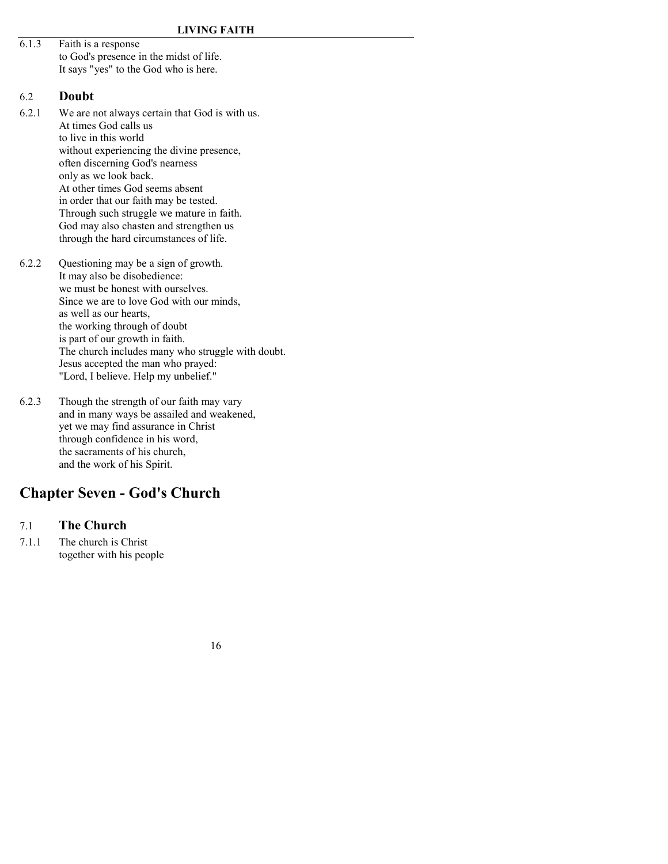6.1.3 Faith is a response to God's presence in the midst of life. It says "yes" to the God who is here.

#### 6.2 **Doubt**

- 6.2.1 We are not always certain that God is with us. At times God calls us to live in this world without experiencing the divine presence, often discerning God's nearness only as we look back. At other times God seems absent in order that our faith may be tested. Through such struggle we mature in faith. God may also chasten and strengthen us through the hard circumstances of life.
- 6.2.2 Questioning may be a sign of growth. It may also be disobedience: we must be honest with ourselves. Since we are to love God with our minds, as well as our hearts, the working through of doubt is part of our growth in faith. The church includes many who struggle with doubt. Jesus accepted the man who prayed: "Lord, I believe. Help my unbelief."
- 6.2.3 Though the strength of our faith may vary and in many ways be assailed and weakened, yet we may find assurance in Christ through confidence in his word, the sacraments of his church, and the work of his Spirit.

# **Chapter Seven - God's Church**

# 7.1 **The Church**

7.1.1 The church is Christ together with his people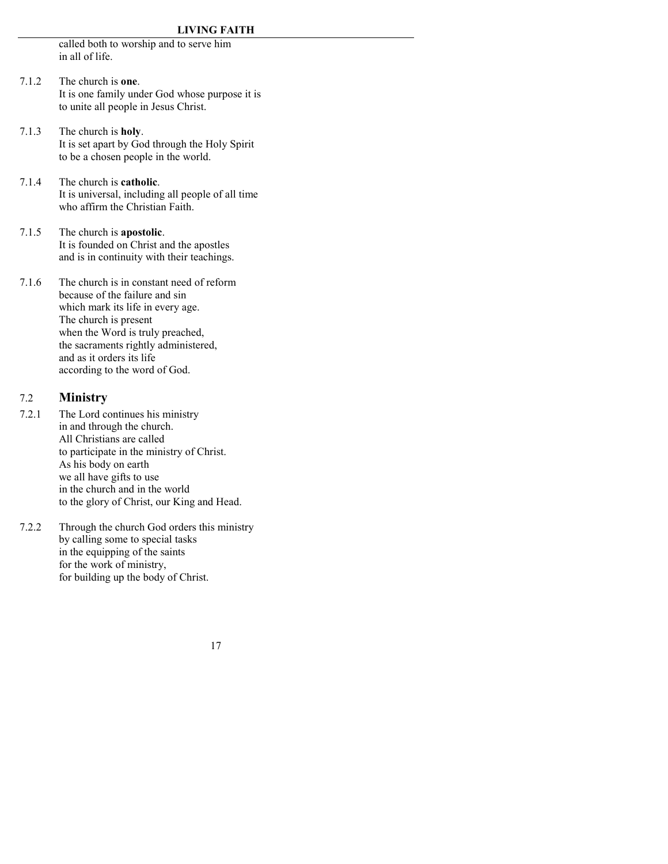<span id="page-14-0"></span>called both to worship and to serve him in all of life.

- 7.1.2 The church is **one**. It is one family under God whose purpose it is to unite all people in Jesus Christ.
- 7.1.3 The church is **holy**. It is set apart by God through the Holy Spirit to be a chosen people in the world.
- 7.1.4 The church is **catholic**. It is universal, including all people of all time who affirm the Christian Faith.
- 7.1.5 The church is **apostolic**. It is founded on Christ and the apostles and is in continuity with their teachings.

7.1.6 The church is in constant need of reform because of the failure and sin which mark its life in every age. The church is present when the Word is truly preached, the sacraments rightly administered, and as it orders its life according to the word of God.

### 7.2 **Ministry**

- 7.2.1 The Lord continues his ministry in and through the church. All Christians are called to participate in the ministry of Christ. As his body on earth we all have gifts to use in the church and in the world to the glory of Christ, our King and Head.
- 7.2.2 Through the church God orders this ministry by calling some to special tasks in the equipping of the saints for the work of ministry, for building up the body of Christ.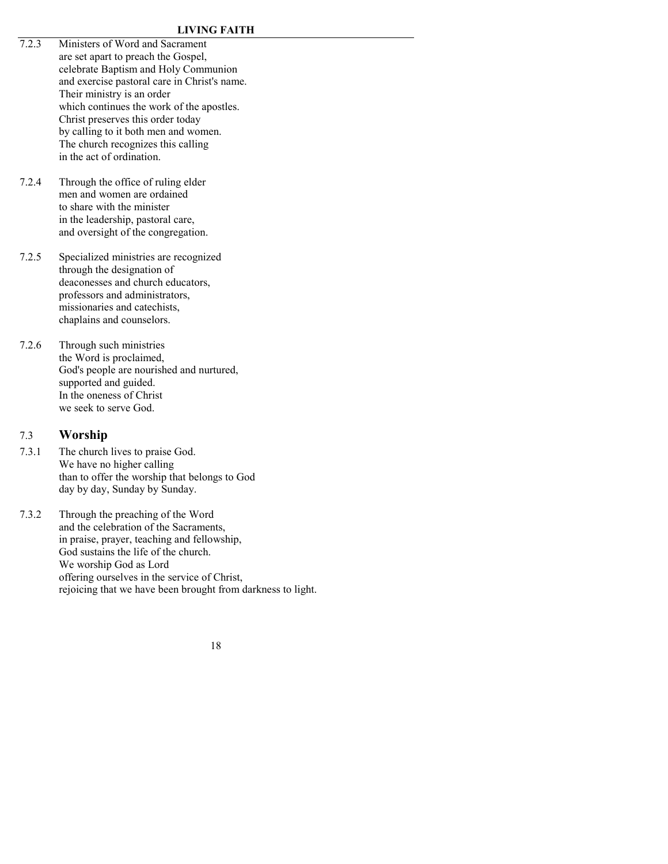- 7.2.3 Ministers of Word and Sacrament are set apart to preach the Gospel, celebrate Baptism and Holy Communion and exercise pastoral care in Christ's name. Their ministry is an order which continues the work of the apostles. Christ preserves this order today by calling to it both men and women. The church recognizes this calling in the act of ordination.
- 7.2.4 Through the office of ruling elder men and women are ordained to share with the minister in the leadership, pastoral care, and oversight of the congregation.
- 7.2.5 Specialized ministries are recognized through the designation of deaconesses and church educators, professors and administrators, missionaries and catechists, chaplains and counselors.
- 7.2.6 Through such ministries the Word is proclaimed, God's people are nourished and nurtured, supported and guided. In the oneness of Christ we seek to serve God.

## 7.3 **Worship**

- 7.3.1 The church lives to praise God. We have no higher calling than to offer the worship that belongs to God day by day, Sunday by Sunday.
- 7.3.2 Through the preaching of the Word and the celebration of the Sacraments, in praise, prayer, teaching and fellowship, God sustains the life of the church. We worship God as Lord offering ourselves in the service of Christ, rejoicing that we have been brought from darkness to light.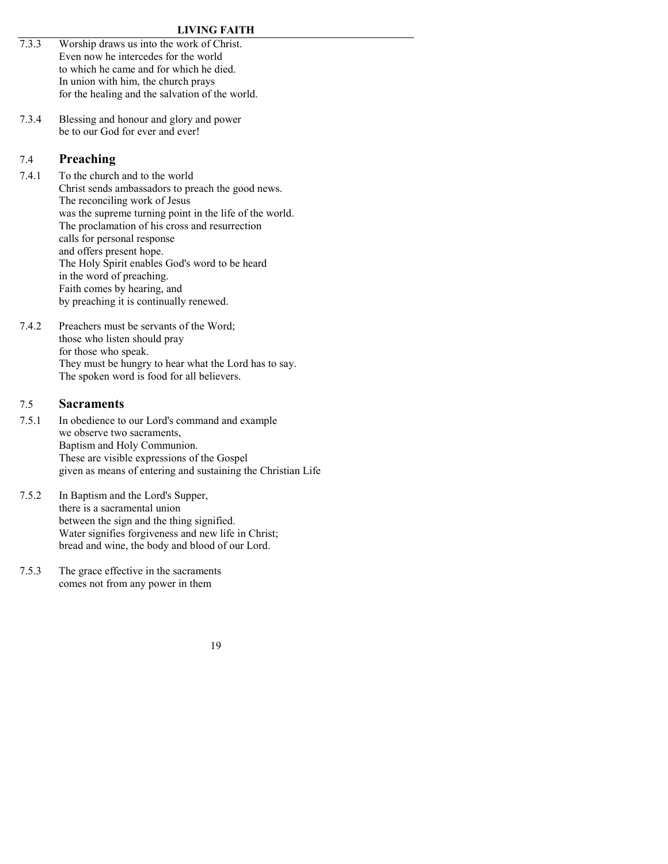- 7.3.3 Worship draws us into the work of Christ. Even now he intercedes for the world to which he came and for which he died. In union with him, the church prays for the healing and the salvation of the world.
- 7.3.4 Blessing and honour and glory and power be to our God for ever and ever!

# 7.4 **Preaching**

- 7.4.1 To the church and to the world Christ sends ambassadors to preach the good news. The reconciling work of Jesus was the supreme turning point in the life of the world. The proclamation of his cross and resurrection calls for personal response and offers present hope. The Holy Spirit enables God's word to be heard in the word of preaching. Faith comes by hearing, and by preaching it is continually renewed.
- 7.4.2 Preachers must be servants of the Word; those who listen should pray for those who speak. They must be hungry to hear what the Lord has to say. The spoken word is food for all believers.

## 7.5 **Sacraments**

- 7.5.1 In obedience to our Lord's command and example we observe two sacraments, Baptism and Holy Communion. These are visible expressions of the Gospel given as means of entering and sustaining the Christian Life
- 7.5.2 In Baptism and the Lord's Supper, there is a sacramental union between the sign and the thing signified. Water signifies forgiveness and new life in Christ; bread and wine, the body and blood of our Lord.
- 7.5.3 The grace effective in the sacraments comes not from any power in them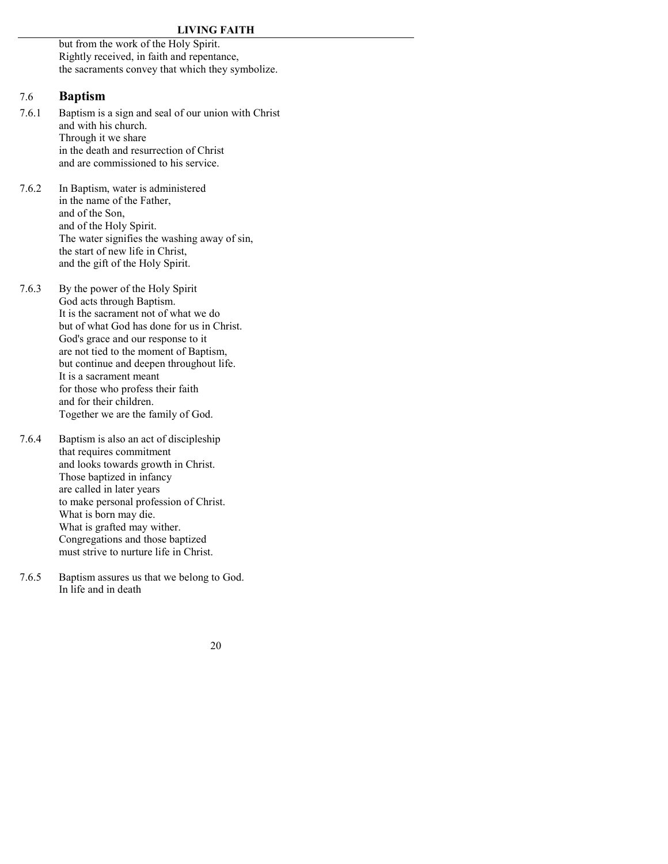but from the work of the Holy Spirit. Rightly received, in faith and repentance, the sacraments convey that which they symbolize.

#### 7.6 **Baptism**

- 7.6.1 Baptism is a sign and seal of our union with Christ and with his church. Through it we share in the death and resurrection of Christ and are commissioned to his service.
- 7.6.2 In Baptism, water is administered in the name of the Father, and of the Son, and of the Holy Spirit. The water signifies the washing away of sin, the start of new life in Christ, and the gift of the Holy Spirit.
- 7.6.3 By the power of the Holy Spirit God acts through Baptism. It is the sacrament not of what we do but of what God has done for us in Christ. God's grace and our response to it are not tied to the moment of Baptism, but continue and deepen throughout life. It is a sacrament meant for those who profess their faith and for their children. Together we are the family of God.
- 7.6.4 Baptism is also an act of discipleship that requires commitment and looks towards growth in Christ. Those baptized in infancy are called in later years to make personal profession of Christ. What is born may die. What is grafted may wither. Congregations and those baptized must strive to nurture life in Christ.
- 7.6.5 Baptism assures us that we belong to God. In life and in death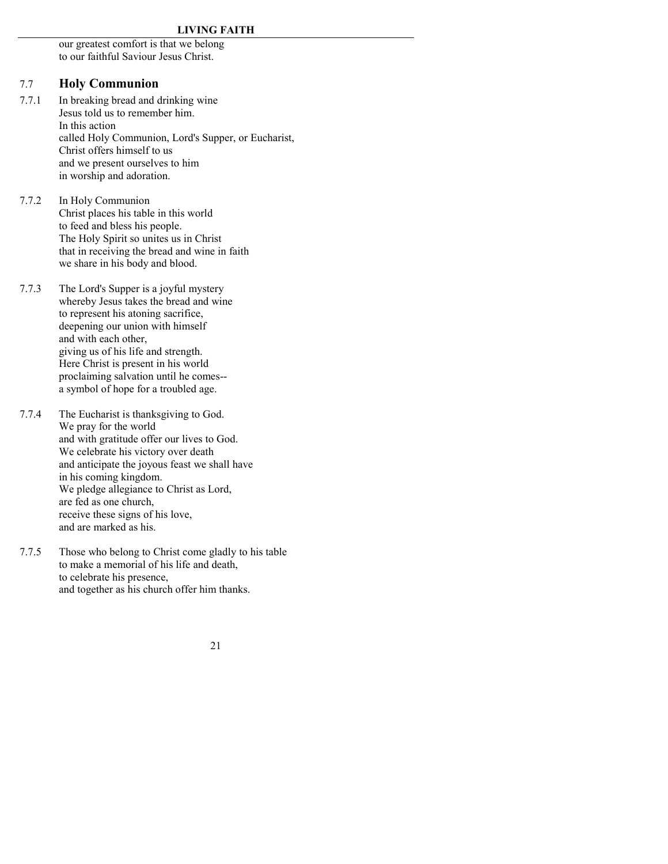our greatest comfort is that we belong to our faithful Saviour Jesus Christ.

### 7.7 **Holy Communion**

- 7.7.1 In breaking bread and drinking wine Jesus told us to remember him. In this action called Holy Communion, Lord's Supper, or Eucharist, Christ offers himself to us and we present ourselves to him in worship and adoration.
- 7.7.2 In Holy Communion Christ places his table in this world to feed and bless his people. The Holy Spirit so unites us in Christ that in receiving the bread and wine in faith we share in his body and blood.
- 7.7.3 The Lord's Supper is a joyful mystery whereby Jesus takes the bread and wine to represent his atoning sacrifice, deepening our union with himself and with each other, giving us of his life and strength. Here Christ is present in his world proclaiming salvation until he comes- a symbol of hope for a troubled age.
- 7.7.4 The Eucharist is thanksgiving to God. We pray for the world and with gratitude offer our lives to God. We celebrate his victory over death and anticipate the joyous feast we shall have in his coming kingdom. We pledge allegiance to Christ as Lord, are fed as one church, receive these signs of his love, and are marked as his.
- 7.7.5 Those who belong to Christ come gladly to his table to make a memorial of his life and death, to celebrate his presence, and together as his church offer him thanks.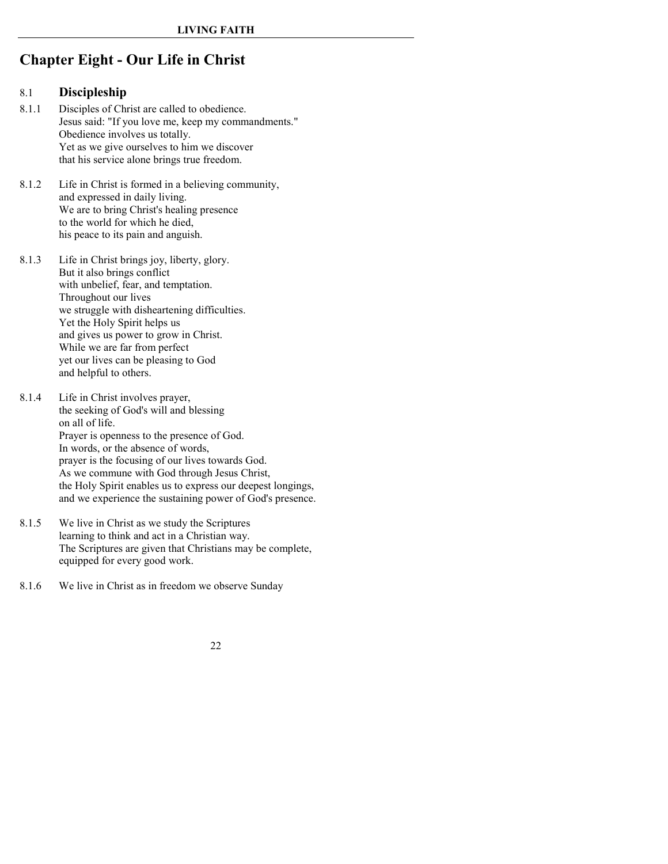# <span id="page-19-0"></span>**Chapter Eight - Our Life in Christ**

### 8.1 **Discipleship**

- 8.1.1 Disciples of Christ are called to obedience. Jesus said: "If you love me, keep my commandments." Obedience involves us totally. Yet as we give ourselves to him we discover that his service alone brings true freedom.
- 8.1.2 Life in Christ is formed in a believing community, and expressed in daily living. We are to bring Christ's healing presence to the world for which he died, his peace to its pain and anguish.
- 8.1.3 Life in Christ brings joy, liberty, glory. But it also brings conflict with unbelief, fear, and temptation. Throughout our lives we struggle with disheartening difficulties. Yet the Holy Spirit helps us and gives us power to grow in Christ. While we are far from perfect yet our lives can be pleasing to God and helpful to others.
- 8.1.4 Life in Christ involves prayer, the seeking of God's will and blessing on all of life. Prayer is openness to the presence of God. In words, or the absence of words, prayer is the focusing of our lives towards God. As we commune with God through Jesus Christ, the Holy Spirit enables us to express our deepest longings, and we experience the sustaining power of God's presence.
- 8.1.5 We live in Christ as we study the Scriptures learning to think and act in a Christian way. The Scriptures are given that Christians may be complete, equipped for every good work.
- 8.1.6 We live in Christ as in freedom we observe Sunday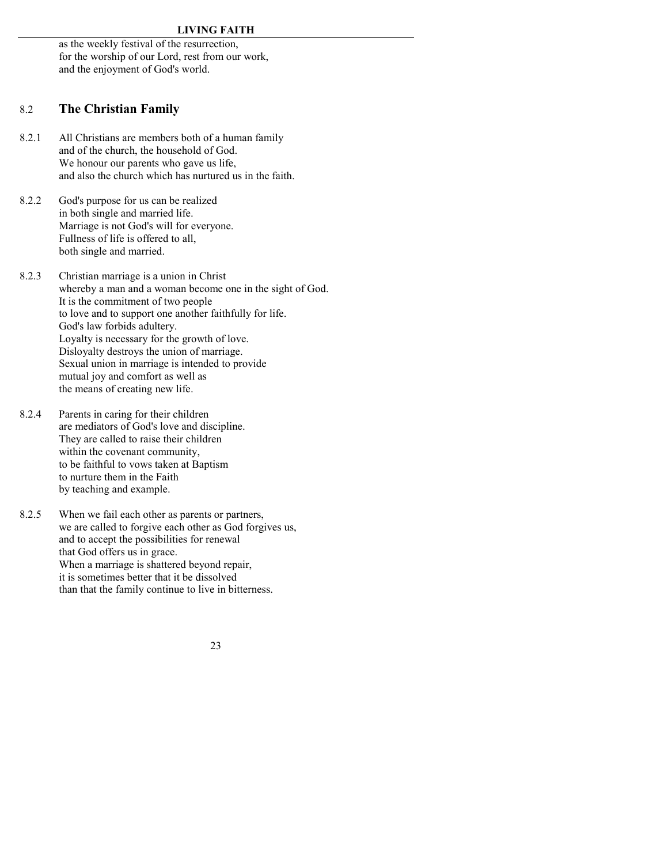as the weekly festival of the resurrection, for the worship of our Lord, rest from our work, and the enjoyment of God's world.

## 8.2 **The Christian Family**

- 8.2.1 All Christians are members both of a human family and of the church, the household of God. We honour our parents who gave us life, and also the church which has nurtured us in the faith.
- 8.2.2 God's purpose for us can be realized in both single and married life. Marriage is not God's will for everyone. Fullness of life is offered to all, both single and married.
- 8.2.3 Christian marriage is a union in Christ whereby a man and a woman become one in the sight of God. It is the commitment of two people to love and to support one another faithfully for life. God's law forbids adultery. Loyalty is necessary for the growth of love. Disloyalty destroys the union of marriage. Sexual union in marriage is intended to provide mutual joy and comfort as well as the means of creating new life.
- 8.2.4 Parents in caring for their children are mediators of God's love and discipline. They are called to raise their children within the covenant community, to be faithful to vows taken at Baptism to nurture them in the Faith by teaching and example.
- 8.2.5 When we fail each other as parents or partners, we are called to forgive each other as God forgives us, and to accept the possibilities for renewal that God offers us in grace. When a marriage is shattered beyond repair, it is sometimes better that it be dissolved than that the family continue to live in bitterness.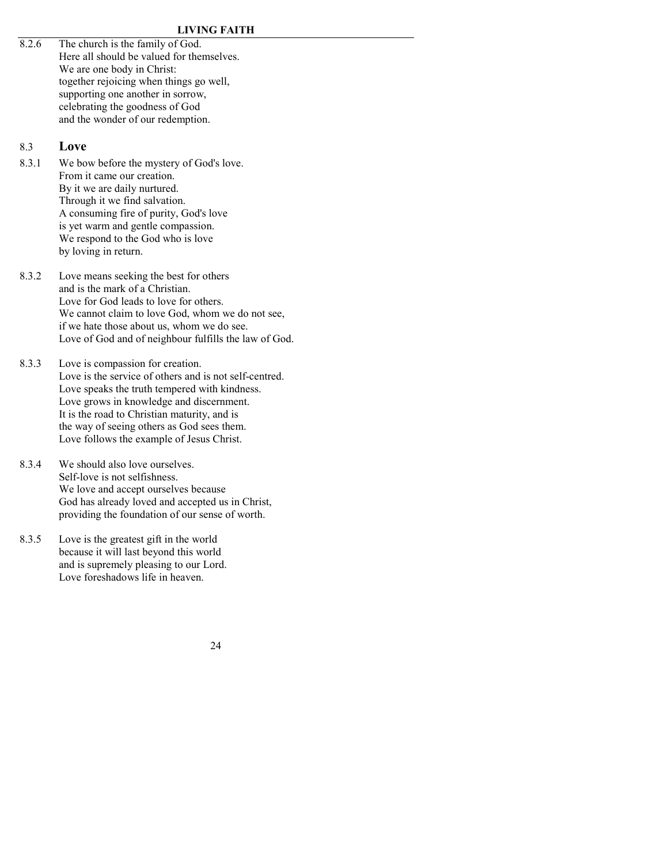8.2.6 The church is the family of God. Here all should be valued for themselves. We are one body in Christ: together rejoicing when things go well, supporting one another in sorrow, celebrating the goodness of God and the wonder of our redemption.

### 8.3 **Love**

- 8.3.1 We bow before the mystery of God's love. From it came our creation. By it we are daily nurtured. Through it we find salvation. A consuming fire of purity, God's love is yet warm and gentle compassion. We respond to the God who is love by loving in return.
- 8.3.2 Love means seeking the best for others and is the mark of a Christian. Love for God leads to love for others. We cannot claim to love God, whom we do not see, if we hate those about us, whom we do see. Love of God and of neighbour fulfills the law of God.
- 8.3.3 Love is compassion for creation. Love is the service of others and is not self-centred. Love speaks the truth tempered with kindness. Love grows in knowledge and discernment. It is the road to Christian maturity, and is the way of seeing others as God sees them. Love follows the example of Jesus Christ.
- 8.3.4 We should also love ourselves Self-love is not selfishness. We love and accept ourselves because God has already loved and accepted us in Christ, providing the foundation of our sense of worth.
- 8.3.5 Love is the greatest gift in the world because it will last beyond this world and is supremely pleasing to our Lord. Love foreshadows life in heaven.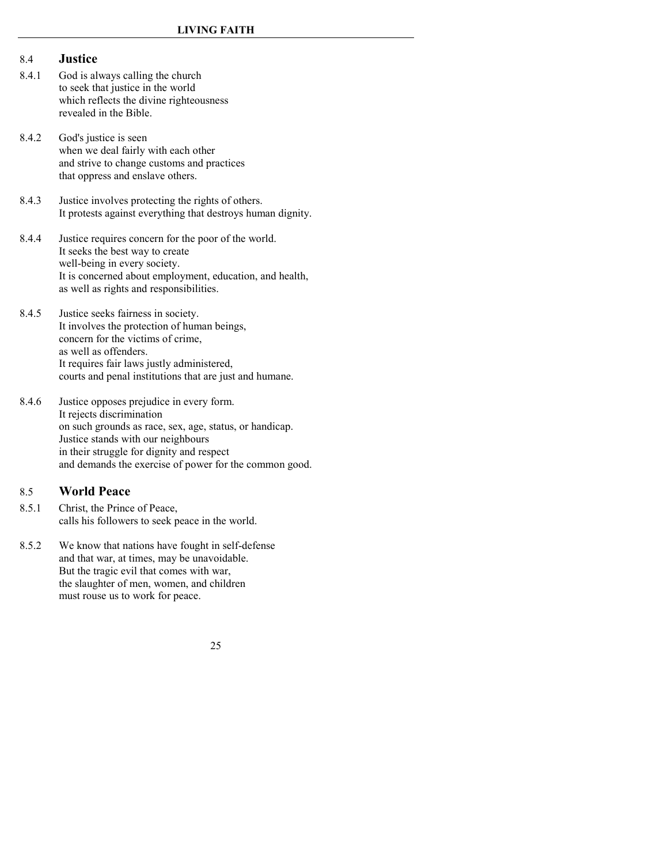#### 8.4 **Justice**

- 8.4.1 God is always calling the church to seek that justice in the world which reflects the divine righteousness revealed in the Bible.
- 8.4.2 God's justice is seen when we deal fairly with each other and strive to change customs and practices that oppress and enslave others.
- 8.4.3 Justice involves protecting the rights of others. It protests against everything that destroys human dignity.
- 8.4.4 Justice requires concern for the poor of the world. It seeks the best way to create well-being in every society. It is concerned about employment, education, and health, as well as rights and responsibilities.
- 8.4.5 Justice seeks fairness in society. It involves the protection of human beings, concern for the victims of crime, as well as offenders. It requires fair laws justly administered, courts and penal institutions that are just and humane.
- 8.4.6 Justice opposes prejudice in every form. It rejects discrimination on such grounds as race, sex, age, status, or handicap. Justice stands with our neighbours in their struggle for dignity and respect and demands the exercise of power for the common good.

### 8.5 **World Peace**

- 8.5.1 Christ, the Prince of Peace, calls his followers to seek peace in the world.
- 8.5.2 We know that nations have fought in self-defense and that war, at times, may be unavoidable. But the tragic evil that comes with war, the slaughter of men, women, and children must rouse us to work for peace.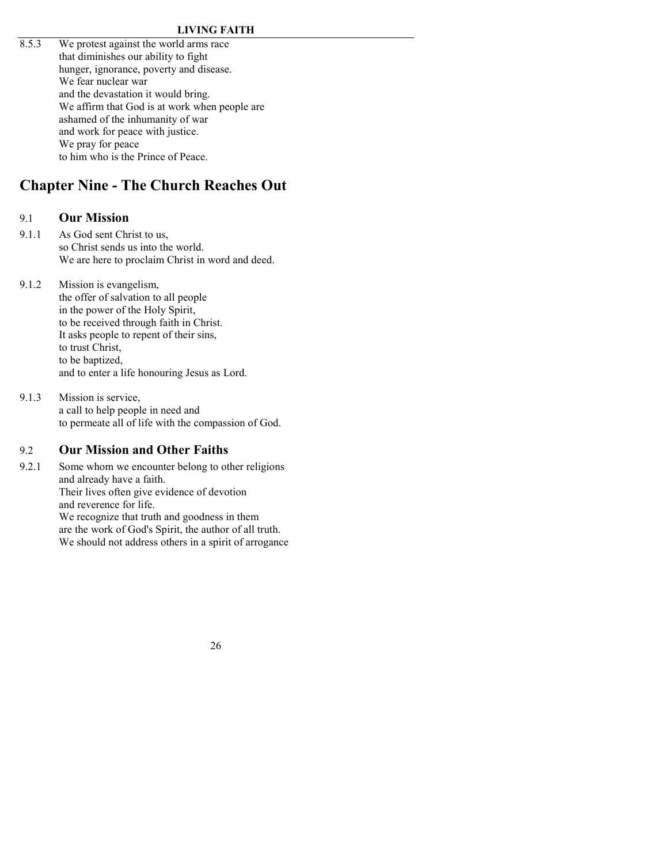8.5.3 We protest against the world arms race that diminishes our ability to fight hunger, ignorance, poverty and disease. We fear nuclear war and the devastation it would bring. We affirm that God is at work when people are ashamed of the inhumanity of war and work for peace with justice. We pray for peace to him who is the Prince of Peace.

# <span id="page-23-0"></span>**Chapter Nine - The Church Reaches Out**

## 9.1 **Our Mission**

- 9.1.1 As God sent Christ to us, so Christ sends us into the world. We are here to proclaim Christ in word and deed.
- 9.1.2 Mission is evangelism, the offer of salvation to all people in the power of the Holy Spirit, to be received through faith in Christ. It asks people to repent of their sins, to trust Christ, to be baptized, and to enter a life honouring Jesus as Lord.
- 9.1.3 Mission is service, a call to help people in need and to permeate all of life with the compassion of God.

## 9.2 **Our Mission and Other Faiths**

9.2.1 Some whom we encounter belong to other religions and already have a faith. Their lives often give evidence of devotion and reverence for life. We recognize that truth and goodness in them are the work of God's Spirit, the author of all truth. We should not address others in a spirit of arrogance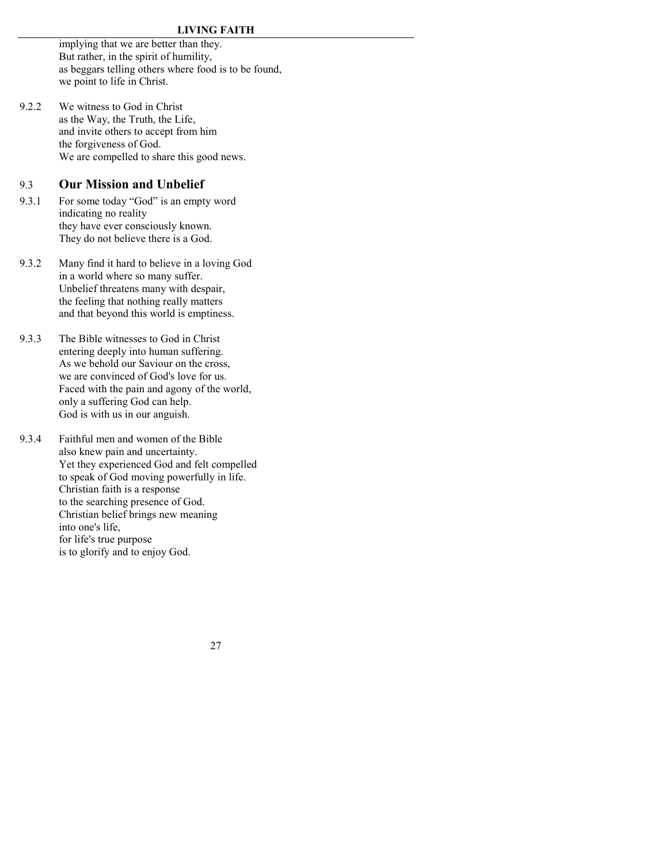implying that we are better than they. But rather, in the spirit of humility, as beggars telling others where food is to be found, we point to life in Christ.

9.2.2 We witness to God in Christ as the Way, the Truth, the Life, and invite others to accept from him the forgiveness of God. We are compelled to share this good news.

### 9.3 **Our Mission and Unbelief**

- 9.3.1 For some today "God" is an empty word indicating no reality they have ever consciously known. They do not believe there is a God.
- 9.3.2 Many find it hard to believe in a loving God in a world where so many suffer. Unbelief threatens many with despair, the feeling that nothing really matters and that beyond this world is emptiness.
- 9.3.3 The Bible witnesses to God in Christ entering deeply into human suffering. As we behold our Saviour on the cross, we are convinced of God's love for us. Faced with the pain and agony of the world, only a suffering God can help. God is with us in our anguish.
- 9.3.4 Faithful men and women of the Bible also knew pain and uncertainty. Yet they experienced God and felt compelled to speak of God moving powerfully in life. Christian faith is a response to the searching presence of God. Christian belief brings new meaning into one's life, for life's true purpose is to glorify and to enjoy God.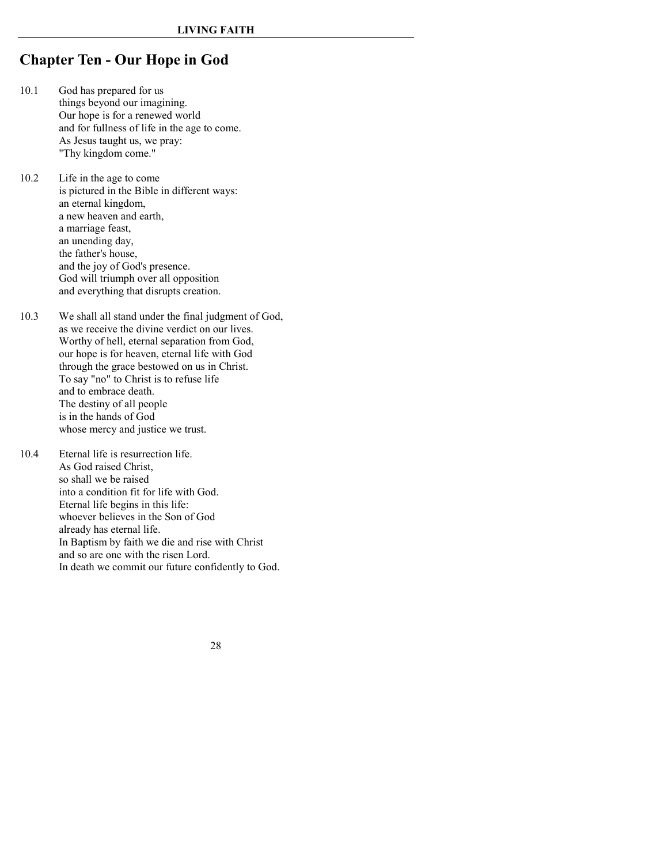# <span id="page-25-0"></span>**Chapter Ten - Our Hope in God**

- 10.1 God has prepared for us things beyond our imagining. Our hope is for a renewed world and for fullness of life in the age to come. As Jesus taught us, we pray: "Thy kingdom come."
- 10.2 Life in the age to come is pictured in the Bible in different ways: an eternal kingdom, a new heaven and earth, a marriage feast, an unending day, the father's house, and the joy of God's presence. God will triumph over all opposition and everything that disrupts creation.
- 10.3 We shall all stand under the final judgment of God, as we receive the divine verdict on our lives. Worthy of hell, eternal separation from God, our hope is for heaven, eternal life with God through the grace bestowed on us in Christ. To say "no" to Christ is to refuse life and to embrace death. The destiny of all people is in the hands of God whose mercy and justice we trust.
- 10.4 Eternal life is resurrection life. As God raised Christ, so shall we be raised into a condition fit for life with God. Eternal life begins in this life: whoever believes in the Son of God already has eternal life. In Baptism by faith we die and rise with Christ and so are one with the risen Lord. In death we commit our future confidently to God.